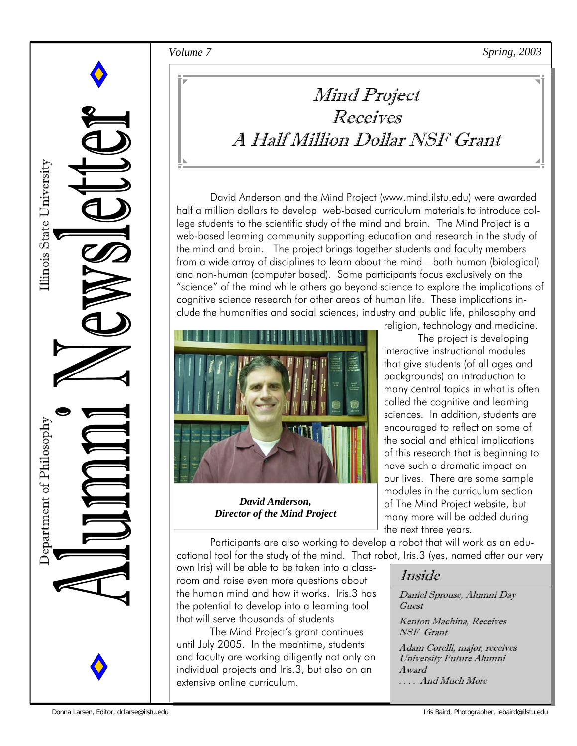*Volume 7 Spring, 2003* 



### Mind Project Receives A Half Million Dollar NSF Grant

David Anderson and the Mind Project (www.mind.ilstu.edu) were awarded half a million dollars to develop web-based curriculum materials to introduce college students to the scientific study of the mind and brain. The Mind Project is a web-based learning community supporting education and research in the study of the mind and brain. The project brings together students and faculty members from a wide array of disciplines to learn about the mind—both human (biological) and non-human (computer based). Some participants focus exclusively on the "science" of the mind while others go beyond science to explore the implications of cognitive science research for other areas of human life. These implications include the humanities and social sciences, industry and public life, philosophy and



*David Anderson, Director of the Mind Project* 

room and raise even more questions about the human mind and how it works. Iris.3 has the potential to develop into a learning tool

until July 2005. In the meantime, students and faculty are working diligently not only on individual projects and Iris.3, but also on an

The Mind Project's grant continues

that will serve thousands of students

extensive online curriculum.

religion, technology and medicine. The project is developing interactive instructional modules that give students (of all ages and backgrounds) an introduction to many central topics in what is often called the cognitive and learning sciences. In addition, students are encouraged to reflect on some of the social and ethical implications of this research that is beginning to have such a dramatic impact on our lives. There are some sample modules in the curriculum section of The Mind Project website, but many more will be added during the next three years.

 Participants are also working to develop a robot that will work as an educational tool for the study of the mind. That robot, Iris.3 (yes, named after our very own Iris) will be able to be taken into a class-

Inside

Daniel Sprouse, Alumni Day Guest Kenton Machina, Receives

NSF Grant Adam Corelli, major, receives University Future Alumni Award

. . . . And Much More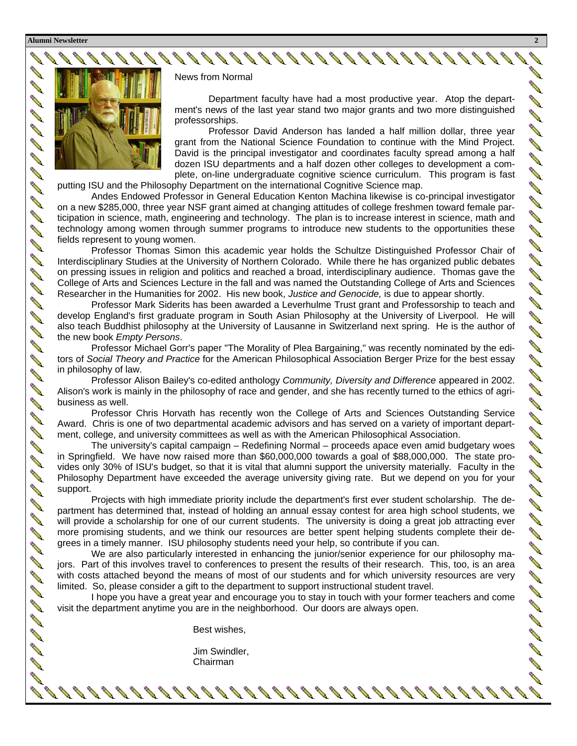**Alumni Newsletter 2** 

**AND ROW** 

**Contract Contract Contract Contract Contract Contract Contract Contract Contract Contract Contract Contract C Contract Contract Contract Contract Contract Contract Contract Contract Contract Contract Contract Contract Contract Contract Contract Contract Contract Contract Contract Contract Contract Contract Contract Contract Contr** 

**AVE** 

**AVE** 

**AND ROW ANDRO** 

**Contract of the Contract of The Contract of The Contract of The Contract of The Contract of The Contract of The Contract of The Contract of The Contract of The Contract of The Contract of The Contract of The Contract of T ANTI** 

**Contract of the Contract of the Contract of The Contract of The Contract of The Contract of The Contract of The Contract of The Contract of The Contract of The Contract of The Contract of The Contract of The Contract of T AND** 

**Contract of the Contract of the Contract of The Contract of The Contract of The Contract of The Contract of The Contract of The Contract of The Contract of The Contract of The Contract of The Contract of The Contract of T** 

**Contract of the Contract of The Contract of The Contract of The Contract of The Contract of The Contract of The Contract of The Contract of The Contract of The Contract of The Contract of The Contract of The Contract of T AVENU** 

**ANDROIN** 

**Contract Contract Contract Contract Contract Contract Contract Contract Contract Contract Contract Contract Contract Contract Contract Contract Contract Contract Contract Contract Contract Contract Contract Contract Contr** 

**A ANDROIN** 

**Contract Contract Contract Contract Contract Contract Contract Contract Contract Contract Contract Contract Contract Contract Contract Contract Contract Contract Contract Contract Contract Contract Contract Contract Contr AND Contract of the Contract of The Contract of The Contract of The Contract of The Contract of The Contract of The Contract of The Contract of The Contract of The Contract of The Contract of The Contract of The Contract of T** 

**AVE** 

**RANT** 

**Contract of the Contract of the Contract of The Contract of The Contract of The Contract of The Contract of The Contract of The Contract of The Contract of The Contract of The Contract of The Contract of The Contract of T AVE** 

**ANDROIN** 

**ANDROIN AND ROW** 

**All Street Report Follows** 

**RADIO** 

**RAND** 

**CONTRACTOR** 



News from Normal

 Department faculty have had a most productive year. Atop the department's news of the last year stand two major grants and two more distinguished professorships.

 Professor David Anderson has landed a half million dollar, three year grant from the National Science Foundation to continue with the Mind Project. David is the principal investigator and coordinates faculty spread among a half dozen ISU departments and a half dozen other colleges to development a complete, on-line undergraduate cognitive science curriculum. This program is fast

putting ISU and the Philosophy Department on the international Cognitive Science map.

 Andes Endowed Professor in General Education Kenton Machina likewise is co-principal investigator on a new \$285,000, three year NSF grant aimed at changing attitudes of college freshmen toward female participation in science, math, engineering and technology. The plan is to increase interest in science, math and technology among women through summer programs to introduce new students to the opportunities these fields represent to young women.

 Professor Thomas Simon this academic year holds the Schultze Distinguished Professor Chair of Interdisciplinary Studies at the University of Northern Colorado. While there he has organized public debates on pressing issues in religion and politics and reached a broad, interdisciplinary audience. Thomas gave the College of Arts and Sciences Lecture in the fall and was named the Outstanding College of Arts and Sciences Researcher in the Humanities for 2002. His new book, *Justice and Genocide,* is due to appear shortly.

 Professor Mark Siderits has been awarded a Leverhulme Trust grant and Professorship to teach and develop England's first graduate program in South Asian Philosophy at the University of Liverpool. He will also teach Buddhist philosophy at the University of Lausanne in Switzerland next spring. He is the author of the new book *Empty Persons*.

 Professor Michael Gorr's paper "The Morality of Plea Bargaining," was recently nominated by the editors of *Social Theory and Practice* for the American Philosophical Association Berger Prize for the best essay in philosophy of law.

 Professor Alison Bailey's co-edited anthology *Community, Diversity and Difference* appeared in 2002. Alison's work is mainly in the philosophy of race and gender, and she has recently turned to the ethics of agribusiness as well.

 Professor Chris Horvath has recently won the College of Arts and Sciences Outstanding Service Award. Chris is one of two departmental academic advisors and has served on a variety of important department, college, and university committees as well as with the American Philosophical Association.

 The university's capital campaign – Redefining Normal – proceeds apace even amid budgetary woes in Springfield. We have now raised more than \$60,000,000 towards a goal of \$88,000,000. The state provides only 30% of ISU's budget, so that it is vital that alumni support the university materially. Faculty in the Philosophy Department have exceeded the average university giving rate. But we depend on you for your support.

 Projects with high immediate priority include the department's first ever student scholarship. The department has determined that, instead of holding an annual essay contest for area high school students, we will provide a scholarship for one of our current students. The university is doing a great job attracting ever more promising students, and we think our resources are better spent helping students complete their degrees in a timely manner. ISU philosophy students need your help, so contribute if you can.

We are also particularly interested in enhancing the junior/senior experience for our philosophy majors. Part of this involves travel to conferences to present the results of their research. This, too, is an area with costs attached beyond the means of most of our students and for which university resources are very limited. So, please consider a gift to the department to support instructional student travel.

 I hope you have a great year and encourage you to stay in touch with your former teachers and come visit the department anytime you are in the neighborhood. Our doors are always open.

Best wishes,

 Jim Swindler, Chairman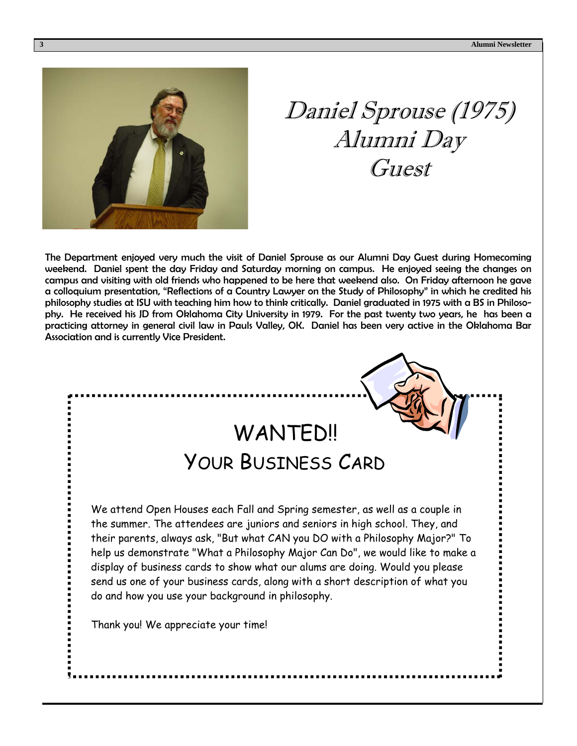

## Daniel Sprouse (1975) Alumni Day **Guest**

The Department enjoyed very much the visit of Daniel Sprouse as our Alumni Day Guest during Homecoming weekend. Daniel spent the day Friday and Saturday morning on campus. He enjoyed seeing the changes on campus and visiting with old friends who happened to be here that weekend also. On Friday afternoon he gave a colloquium presentation, "Reflections of a Country Lawyer on the Study of Philosophy" in which he credited his philosophy studies at ISU with teaching him how to think critically. Daniel graduated in 1975 with a BS in Philosophy. He received his JD from Oklahoma City University in 1979. For the past twenty two years, he has been a practicing attorney in general civil law in Pauls Valley, OK. Daniel has been very active in the Oklahoma Bar Association and is currently Vice President.

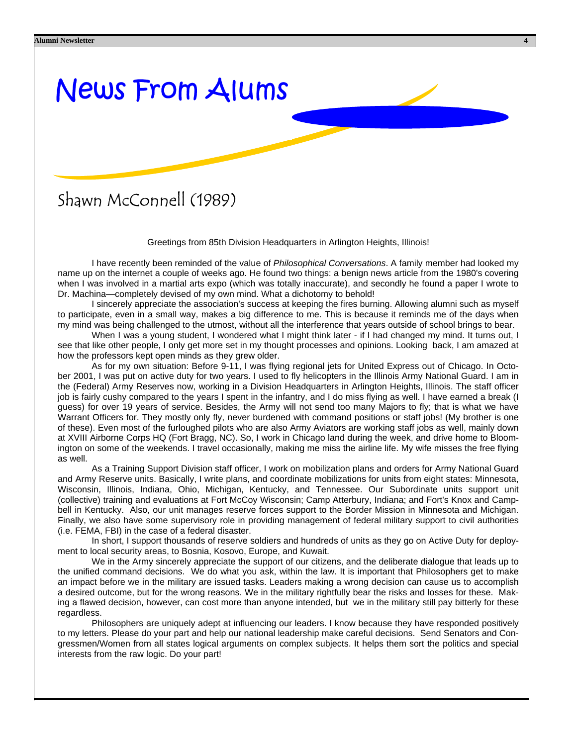# News From Alums

#### Shawn McConnell (1989)

Greetings from 85th Division Headquarters in Arlington Heights, Illinois!

 I have recently been reminded of the value of *Philosophical Conversations*. A family member had looked my name up on the internet a couple of weeks ago. He found two things: a benign news article from the 1980's covering when I was involved in a martial arts expo (which was totally inaccurate), and secondly he found a paper I wrote to Dr. Machina—completely devised of my own mind. What a dichotomy to behold!

 I sincerely appreciate the association's success at keeping the fires burning. Allowing alumni such as myself to participate, even in a small way, makes a big difference to me. This is because it reminds me of the days when my mind was being challenged to the utmost, without all the interference that years outside of school brings to bear.

 When I was a young student, I wondered what I might think later - if I had changed my mind. It turns out, I see that like other people, I only get more set in my thought processes and opinions. Looking back, I am amazed at how the professors kept open minds as they grew older.

 As for my own situation: Before 9-11, I was flying regional jets for United Express out of Chicago. In October 2001, I was put on active duty for two years. I used to fly helicopters in the Illinois Army National Guard. I am in the (Federal) Army Reserves now, working in a Division Headquarters in Arlington Heights, Illinois. The staff officer job is fairly cushy compared to the years I spent in the infantry, and I do miss flying as well. I have earned a break (I guess) for over 19 years of service. Besides, the Army will not send too many Majors to fly; that is what we have Warrant Officers for. They mostly only fly, never burdened with command positions or staff jobs! (My brother is one of these). Even most of the furloughed pilots who are also Army Aviators are working staff jobs as well, mainly down at XVIII Airborne Corps HQ (Fort Bragg, NC). So, I work in Chicago land during the week, and drive home to Bloomington on some of the weekends. I travel occasionally, making me miss the airline life. My wife misses the free flying as well.

 As a Training Support Division staff officer, I work on mobilization plans and orders for Army National Guard and Army Reserve units. Basically, I write plans, and coordinate mobilizations for units from eight states: Minnesota, Wisconsin, Illinois, Indiana, Ohio, Michigan, Kentucky, and Tennessee. Our Subordinate units support unit (collective) training and evaluations at Fort McCoy Wisconsin; Camp Atterbury, Indiana; and Fort's Knox and Campbell in Kentucky. Also, our unit manages reserve forces support to the Border Mission in Minnesota and Michigan. Finally, we also have some supervisory role in providing management of federal military support to civil authorities (i.e. FEMA, FBI) in the case of a federal disaster.

 In short, I support thousands of reserve soldiers and hundreds of units as they go on Active Duty for deployment to local security areas, to Bosnia, Kosovo, Europe, and Kuwait.

 We in the Army sincerely appreciate the support of our citizens, and the deliberate dialogue that leads up to the unified command decisions. We do what you ask, within the law. It is important that Philosophers get to make an impact before we in the military are issued tasks. Leaders making a wrong decision can cause us to accomplish a desired outcome, but for the wrong reasons. We in the military rightfully bear the risks and losses for these. Making a flawed decision, however, can cost more than anyone intended, but we in the military still pay bitterly for these regardless.

 Philosophers are uniquely adept at influencing our leaders. I know because they have responded positively to my letters. Please do your part and help our national leadership make careful decisions. Send Senators and Congressmen/Women from all states logical arguments on complex subjects. It helps them sort the politics and special interests from the raw logic. Do your part!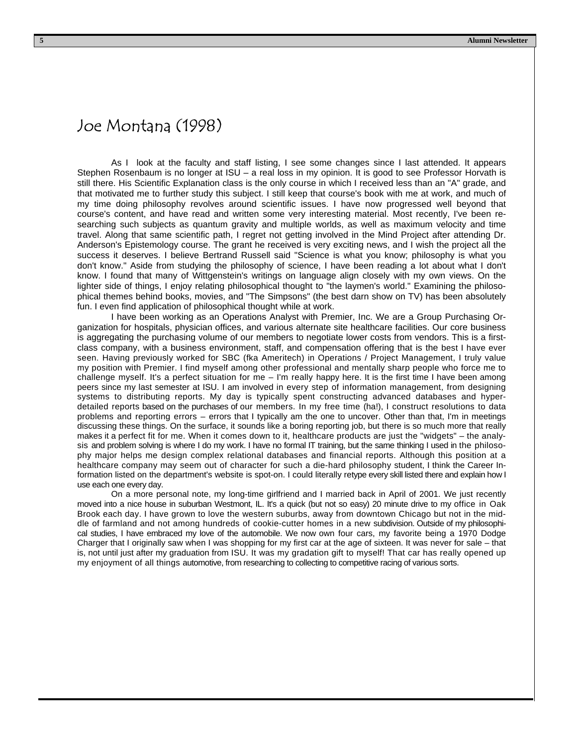#### Joe Montana (1998)

 As I look at the faculty and staff listing, I see some changes since I last attended. It appears Stephen Rosenbaum is no longer at ISU – a real loss in my opinion. It is good to see Professor Horvath is still there. His Scientific Explanation class is the only course in which I received less than an "A" grade, and that motivated me to further study this subject. I still keep that course's book with me at work, and much of my time doing philosophy revolves around scientific issues. I have now progressed well beyond that course's content, and have read and written some very interesting material. Most recently, I've been researching such subjects as quantum gravity and multiple worlds, as well as maximum velocity and time travel. Along that same scientific path, I regret not getting involved in the Mind Project after attending Dr. Anderson's Epistemology course. The grant he received is very exciting news, and I wish the project all the success it deserves. I believe Bertrand Russell said "Science is what you know; philosophy is what you don't know." Aside from studying the philosophy of science, I have been reading a lot about what I don't know. I found that many of Wittgenstein's writings on language align closely with my own views. On the lighter side of things, I enjoy relating philosophical thought to "the laymen's world." Examining the philosophical themes behind books, movies, and "The Simpsons" (the best darn show on TV) has been absolutely fun. I even find application of philosophical thought while at work.

 I have been working as an Operations Analyst with Premier, Inc. We are a Group Purchasing Organization for hospitals, physician offices, and various alternate site healthcare facilities. Our core business is aggregating the purchasing volume of our members to negotiate lower costs from vendors. This is a firstclass company, with a business environment, staff, and compensation offering that is the best I have ever seen. Having previously worked for SBC (fka Ameritech) in Operations / Project Management, I truly value my position with Premier. I find myself among other professional and mentally sharp people who force me to challenge myself. It's a perfect situation for me – I'm really happy here. It is the first time I have been among peers since my last semester at ISU. I am involved in every step of information management, from designing systems to distributing reports. My day is typically spent constructing advanced databases and hyperdetailed reports based on the purchases of our members. In my free time (ha!), I construct resolutions to data problems and reporting errors – errors that I typically am the one to uncover. Other than that, I'm in meetings discussing these things. On the surface, it sounds like a boring reporting job, but there is so much more that really makes it a perfect fit for me. When it comes down to it, healthcare products are just the "widgets" – the analysis and problem solving is where I do my work. I have no formal IT training, but the same thinking I used in the philosophy major helps me design complex relational databases and financial reports. Although this position at a healthcare company may seem out of character for such a die-hard philosophy student, I think the Career Information listed on the department's website is spot-on. I could literally retype every skill listed there and explain how I use each one every day.

 On a more personal note, my long-time girlfriend and I married back in April of 2001. We just recently moved into a nice house in suburban Westmont, IL. It's a quick (but not so easy) 20 minute drive to my office in Oak Brook each day. I have grown to love the western suburbs, away from downtown Chicago but not in the middle of farmland and not among hundreds of cookie-cutter homes in a new subdivision. Outside of my philosophical studies, I have embraced my love of the automobile. We now own four cars, my favorite being a 1970 Dodge Charger that I originally saw when I was shopping for my first car at the age of sixteen. It was never for sale – that is, not until just after my graduation from ISU. It was my gradation gift to myself! That car has really opened up my enjoyment of all things automotive, from researching to collecting to competitive racing of various sorts.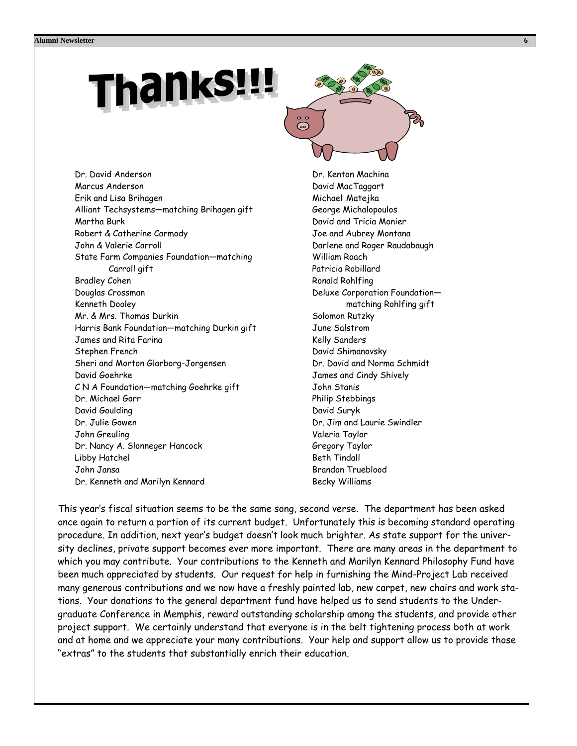# hanks!!!



Dr. David Anderson Marcus Anderson Erik and Lisa Brihagen Alliant Techsystems—matching Brihagen gift Martha Burk Robert & Catherine Carmody John & Valerie Carroll State Farm Companies Foundation—matching Carroll gift Bradley Cohen Douglas Crossman Kenneth Dooley Mr. & Mrs. Thomas Durkin Harris Bank Foundation—matching Durkin gift James and Rita Farina Stephen French Sheri and Morton Glarborg-Jorgensen David Goehrke C N A Foundation—matching Goehrke gift Dr. Michael Gorr David Goulding Dr. Julie Gowen John Greuling Dr. Nancy A. Slonneger Hancock Libby Hatchel John Jansa Dr. Kenneth and Marilyn Kennard

Dr. Kenton Machina David MacTaggart Michael Matejka George Michalopoulos David and Tricia Monier Joe and Aubrey Montana Darlene and Roger Raudabaugh William Roach Patricia Robillard Ronald Rohlfing Deluxe Corporation Foundation matching Rohlfing gift Solomon Rutzky June Salstrom Kelly Sanders David Shimanovsky Dr. David and Norma Schmidt James and Cindy Shively John Stanis Philip Stebbings David Suryk Dr. Jim and Laurie Swindler Valeria Taylor Gregory Taylor Beth Tindall Brandon Trueblood Becky Williams

This year's fiscal situation seems to be the same song, second verse. The department has been asked once again to return a portion of its current budget. Unfortunately this is becoming standard operating procedure. In addition, next year's budget doesn't look much brighter. As state support for the university declines, private support becomes ever more important. There are many areas in the department to which you may contribute. Your contributions to the Kenneth and Marilyn Kennard Philosophy Fund have been much appreciated by students. Our request for help in furnishing the Mind-Project Lab received many generous contributions and we now have a freshly painted lab, new carpet, new chairs and work stations. Your donations to the general department fund have helped us to send students to the Undergraduate Conference in Memphis, reward outstanding scholarship among the students, and provide other project support. We certainly understand that everyone is in the belt tightening process both at work and at home and we appreciate your many contributions. Your help and support allow us to provide those "extras" to the students that substantially enrich their education.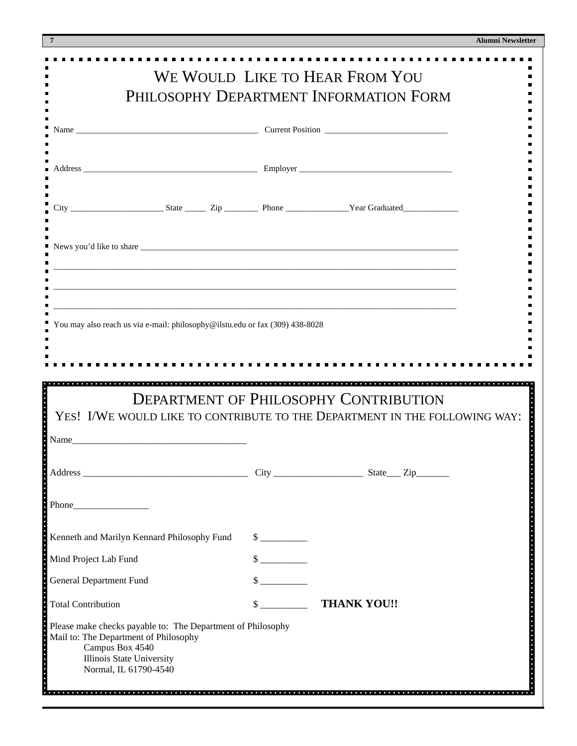|  | <b>Alumni Newsletter</b> |
|--|--------------------------|
|--|--------------------------|

|                                                                                                                                                            |                             | WE WOULD LIKE TO HEAR FROM YOU<br>PHILOSOPHY DEPARTMENT INFORMATION FORM |  |
|------------------------------------------------------------------------------------------------------------------------------------------------------------|-----------------------------|--------------------------------------------------------------------------|--|
|                                                                                                                                                            |                             |                                                                          |  |
|                                                                                                                                                            |                             |                                                                          |  |
|                                                                                                                                                            |                             |                                                                          |  |
|                                                                                                                                                            |                             |                                                                          |  |
| You may also reach us via e-mail: philosophy@ilstu.edu or fax (309) 438-8028                                                                               |                             |                                                                          |  |
| YES! I/WE WOULD LIKE TO CONTRIBUTE TO THE DEPARTMENT IN THE FOLLOWING WAY:                                                                                 |                             | <b>DEPARTMENT OF PHILOSOPHY CONTRIBUTION</b>                             |  |
|                                                                                                                                                            |                             |                                                                          |  |
|                                                                                                                                                            |                             |                                                                          |  |
|                                                                                                                                                            | $\frac{\text{S}}{\text{S}}$ |                                                                          |  |
|                                                                                                                                                            | $\frac{\text{S}}{\text{S}}$ |                                                                          |  |
|                                                                                                                                                            | $\sim$                      |                                                                          |  |
| Name<br>Phone Phone<br>Kenneth and Marilyn Kennard Philosophy Fund<br>Mind Project Lab Fund<br><b>General Department Fund</b><br><b>Total Contribution</b> | $\sim$                      | <b>THANK YOU!!</b>                                                       |  |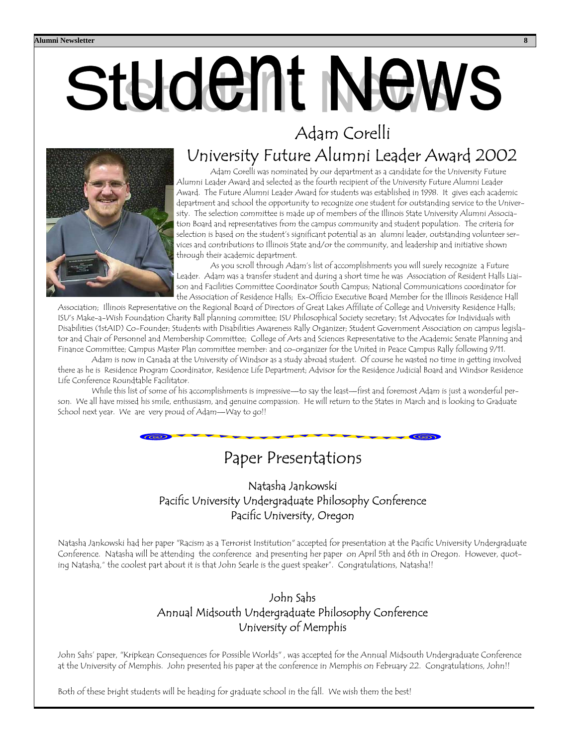# **Student News** Adam Corelli

# University Future Alumni Leader Award 2002<br>Adam Corelli was nominated by our department as a candidate for the University Future

Alumni Leader Award and selected as the fourth recipient of the University Future Alumni Leader Award. The Future Alumni Leader Award for students was established in 1998. It gives each academic department and school the opportunity to recognize one student for outstanding service to the University. The selection committee is made up of members of the Illinois State University Alumni Association Board and representatives from the campus community and student population. The criteria for selection is based on the student's significant potential as an alumni leader, outstanding volunteer services and contributions to Illinois State and/or the community, and leadership and initiative shown through their academic department.

 As you scroll through Adam's list of accomplishments you will surely recognize a Future Leader. Adam was a transfer student and during a short time he was Association of Resident Halls Liaison and Facilities Committee Coordinator South Campus; National Communications coordinator for the Association of Residence Halls; Ex-Officio Executive Board Member for the Illinois Residence Hall

Association; Illinois Representative on the Regional Board of Directors of Great Lakes Affiliate of College and University Residence Halls; ISU's Make-a-Wish Foundation Charity Ball planning committee; ISU Philosophical Society secretary; 1st Advocates for Individuals with Disabilities (1stAID) Co-Founder; Students with Disabilities Awareness Rally Organizer; Student Government Association on campus legislator and Chair of Personnel and Membership Committee; College of Arts and Sciences Representative to the Academic Senate Planning and Finance Committee; Campus Master Plan committee member: and co-organizer for the United in Peace Campus Rally following 9/11.

 Adam is now in Canada at the University of Windsor as a study abroad student. Of course he wasted no time in getting involved there as he is Residence Program Coordinator, Residence Life Department; Advisor for the Residence Judicial Board and Windsor Residence Life Conference Roundtable Facilitator.

While this list of some of his accomplishments is impressive—to say the least—first and foremost Adam is just a wonderful person. We all have missed his smile, enthusiasm, and genuine compassion. He will return to the States in March and is looking to Graduate School next year. We are very proud of Adam—Way to go!!

### Paper Presentations

#### Natasha Jankowski Pacific University Undergraduate Philosophy Conference Pacific University, Oregon

Natasha Jankowski had her paper "Racism as a Terrorist Institution" accepted for presentation at the Pacific University Undergraduate Conference. Natasha will be attending the conference and presenting her paper on April 5th and 6th in Oregon. However, quoting Natasha," the coolest part about it is that John Searle is the guest speaker". Congratulations, Natasha!!

#### John Sahs Annual Midsouth Undergraduate Philosophy Conference University of Memphis

John Sahs' paper, "Kripkean Consequences for Possible Worlds" , was accepted for the Annual Midsouth Undergraduate Conference at the University of Memphis. John presented his paper at the conference in Memphis on February 22. Congratulations, John!!

Both of these bright students will be heading for graduate school in the fall. We wish them the best!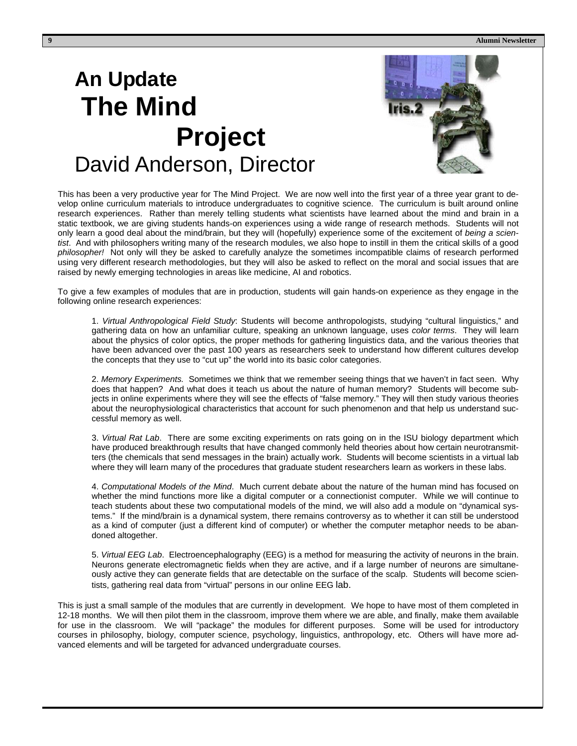**9 Alumni Newsletter** 

### **An Update The Mind Project** David Anderson, Director



This has been a very productive year for The Mind Project. We are now well into the first year of a three year grant to develop online curriculum materials to introduce undergraduates to cognitive science. The curriculum is built around online research experiences. Rather than merely telling students what scientists have learned about the mind and brain in a static textbook, we are giving students hands-on experiences using a wide range of research methods. Students will not only learn a good deal about the mind/brain, but they will (hopefully) experience some of the excitement of *being a scientist*. And with philosophers writing many of the research modules, we also hope to instill in them the critical skills of a good *philosopher!* Not only will they be asked to carefully analyze the sometimes incompatible claims of research performed using very different research methodologies, but they will also be asked to reflect on the moral and social issues that are raised by newly emerging technologies in areas like medicine, AI and robotics.

To give a few examples of modules that are in production, students will gain hands-on experience as they engage in the following online research experiences:

1. *Virtual Anthropological Field Study*: Students will become anthropologists, studying "cultural linguistics," and gathering data on how an unfamiliar culture, speaking an unknown language, uses *color terms*. They will learn about the physics of color optics, the proper methods for gathering linguistics data, and the various theories that have been advanced over the past 100 years as researchers seek to understand how different cultures develop the concepts that they use to "cut up" the world into its basic color categories.

2. *Memory Experiments.* Sometimes we think that we remember seeing things that we haven't in fact seen. Why does that happen? And what does it teach us about the nature of human memory? Students will become subjects in online experiments where they will see the effects of "false memory." They will then study various theories about the neurophysiological characteristics that account for such phenomenon and that help us understand successful memory as well.

3. *Virtual Rat Lab*. There are some exciting experiments on rats going on in the ISU biology department which have produced breakthrough results that have changed commonly held theories about how certain neurotransmitters (the chemicals that send messages in the brain) actually work. Students will become scientists in a virtual lab where they will learn many of the procedures that graduate student researchers learn as workers in these labs.

4. *Computational Models of the Mind*. Much current debate about the nature of the human mind has focused on whether the mind functions more like a digital computer or a connectionist computer. While we will continue to teach students about these two computational models of the mind, we will also add a module on "dynamical systems." If the mind/brain is a dynamical system, there remains controversy as to whether it can still be understood as a kind of computer (just a different kind of computer) or whether the computer metaphor needs to be abandoned altogether.

5. *Virtual EEG Lab*. Electroencephalography (EEG) is a method for measuring the activity of neurons in the brain. Neurons generate electromagnetic fields when they are active, and if a large number of neurons are simultaneously active they can generate fields that are detectable on the surface of the scalp. Students will become scientists, gathering real data from "virtual" persons in our online EEG lab.

This is just a small sample of the modules that are currently in development. We hope to have most of them completed in 12-18 months. We will then pilot them in the classroom, improve them where we are able, and finally, make them available for use in the classroom. We will "package" the modules for different purposes. Some will be used for introductory courses in philosophy, biology, computer science, psychology, linguistics, anthropology, etc. Others will have more advanced elements and will be targeted for advanced undergraduate courses.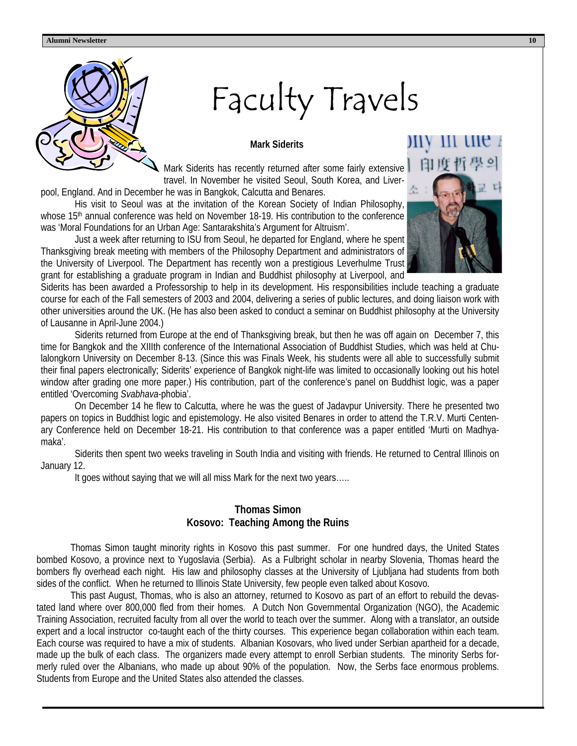

# Faculty Travels

#### **Mark Siderits**

Mark Siderits has recently returned after some fairly extensive travel. In November he visited Seoul, South Korea, and Liver-

pool, England. And in December he was in Bangkok, Calcutta and Benares.

 His visit to Seoul was at the invitation of the Korean Society of Indian Philosophy, whose 15<sup>th</sup> annual conference was held on November 18-19. His contribution to the conference was 'Moral Foundations for an Urban Age: Santarakshita's Argument for Altruism'.

 Just a week after returning to ISU from Seoul, he departed for England, where he spent Thanksgiving break meeting with members of the Philosophy Department and administrators of the University of Liverpool. The Department has recently won a prestigious Leverhulme Trust grant for establishing a graduate program in Indian and Buddhist philosophy at Liverpool, and



Siderits has been awarded a Professorship to help in its development. His responsibilities include teaching a graduate course for each of the Fall semesters of 2003 and 2004, delivering a series of public lectures, and doing liaison work with other universities around the UK. (He has also been asked to conduct a seminar on Buddhist philosophy at the University of Lausanne in April-June 2004.)

 Siderits returned from Europe at the end of Thanksgiving break, but then he was off again on December 7, this time for Bangkok and the XIIIth conference of the International Association of Buddhist Studies, which was held at Chulalongkorn University on December 8-13. (Since this was Finals Week, his students were all able to successfully submit their final papers electronically; Siderits' experience of Bangkok night-life was limited to occasionally looking out his hotel window after grading one more paper.) His contribution, part of the conference's panel on Buddhist logic, was a paper entitled 'Overcoming *Svabhava*-phobia'.

 On December 14 he flew to Calcutta, where he was the guest of Jadavpur University. There he presented two papers on topics in Buddhist logic and epistemology. He also visited Benares in order to attend the T.R.V. Murti Centenary Conference held on December 18-21. His contribution to that conference was a paper entitled 'Murti on Madhyamaka'.

 Siderits then spent two weeks traveling in South India and visiting with friends. He returned to Central Illinois on January 12.

It goes without saying that we will all miss Mark for the next two years…..

#### **Thomas Simon Kosovo: Teaching Among the Ruins**

Thomas Simon taught minority rights in Kosovo this past summer. For one hundred days, the United States bombed Kosovo, a province next to Yugoslavia (Serbia). As a Fulbright scholar in nearby Slovenia, Thomas heard the bombers fly overhead each night. His law and philosophy classes at the University of Ljubljana had students from both sides of the conflict. When he returned to Illinois State University, few people even talked about Kosovo.

 This past August, Thomas, who is also an attorney, returned to Kosovo as part of an effort to rebuild the devastated land where over 800,000 fled from their homes. A Dutch Non Governmental Organization (NGO), the Academic Training Association, recruited faculty from all over the world to teach over the summer. Along with a translator, an outside expert and a local instructor co-taught each of the thirty courses. This experience began collaboration within each team. Each course was required to have a mix of students. Albanian Kosovars, who lived under Serbian apartheid for a decade, made up the bulk of each class. The organizers made every attempt to enroll Serbian students. The minority Serbs formerly ruled over the Albanians, who made up about 90% of the population. Now, the Serbs face enormous problems. Students from Europe and the United States also attended the classes.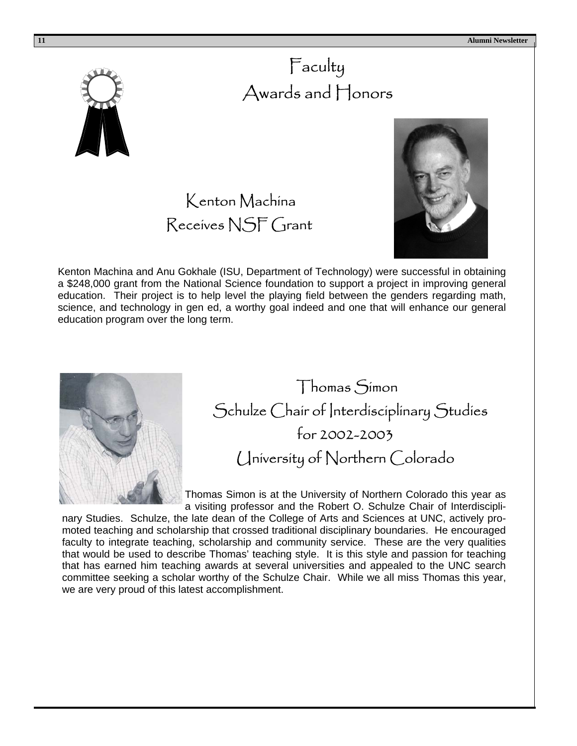

### Faculty Awards and Honors





Kenton Machina and Anu Gokhale (ISU, Department of Technology) were successful in obtaining a \$248,000 grant from the National Science foundation to support a project in improving general education. Their project is to help level the playing field between the genders regarding math, science, and technology in gen ed, a worthy goal indeed and one that will enhance our general education program over the long term.



 Thomas Simon Schulze Chair of Interdisciplinary Studies for 2002-2003 University of Northern Colorado

Thomas Simon is at the University of Northern Colorado this year as a visiting professor and the Robert O. Schulze Chair of Interdiscipli-

nary Studies. Schulze, the late dean of the College of Arts and Sciences at UNC, actively promoted teaching and scholarship that crossed traditional disciplinary boundaries. He encouraged faculty to integrate teaching, scholarship and community service. These are the very qualities that would be used to describe Thomas' teaching style. It is this style and passion for teaching that has earned him teaching awards at several universities and appealed to the UNC search committee seeking a scholar worthy of the Schulze Chair. While we all miss Thomas this year, we are very proud of this latest accomplishment.